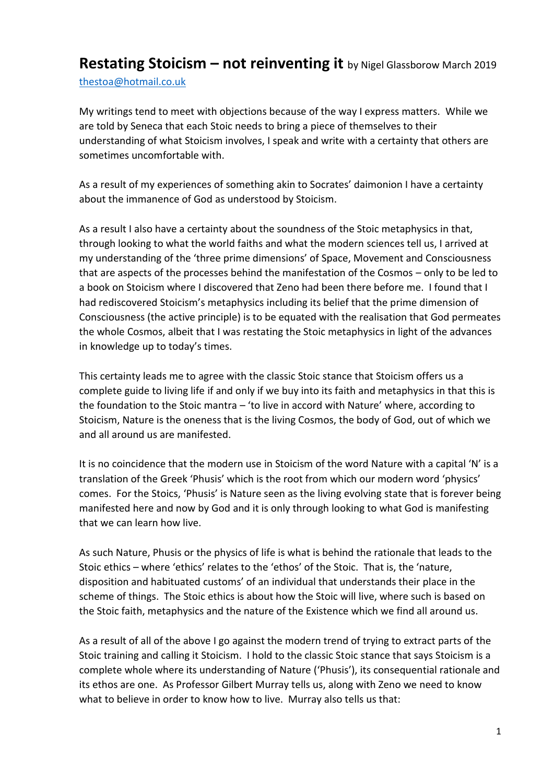## **Restating Stoicism – not reinventing it** by Nigel Glassborow March 2019 [thestoa@hotmail.co.uk](mailto:thestoa@hotmail.co.uk)

My writings tend to meet with objections because of the way I express matters. While we are told by Seneca that each Stoic needs to bring a piece of themselves to their understanding of what Stoicism involves, I speak and write with a certainty that others are sometimes uncomfortable with.

As a result of my experiences of something akin to Socrates' daimonion I have a certainty about the immanence of God as understood by Stoicism.

As a result I also have a certainty about the soundness of the Stoic metaphysics in that, through looking to what the world faiths and what the modern sciences tell us, I arrived at my understanding of the 'three prime dimensions' of Space, Movement and Consciousness that are aspects of the processes behind the manifestation of the Cosmos – only to be led to a book on Stoicism where I discovered that Zeno had been there before me. I found that I had rediscovered Stoicism's metaphysics including its belief that the prime dimension of Consciousness (the active principle) is to be equated with the realisation that God permeates the whole Cosmos, albeit that I was restating the Stoic metaphysics in light of the advances in knowledge up to today's times.

This certainty leads me to agree with the classic Stoic stance that Stoicism offers us a complete guide to living life if and only if we buy into its faith and metaphysics in that this is the foundation to the Stoic mantra – 'to live in accord with Nature' where, according to Stoicism, Nature is the oneness that is the living Cosmos, the body of God, out of which we and all around us are manifested.

It is no coincidence that the modern use in Stoicism of the word Nature with a capital 'N' is a translation of the Greek 'Phusis' which is the root from which our modern word 'physics' comes. For the Stoics, 'Phusis' is Nature seen as the living evolving state that is forever being manifested here and now by God and it is only through looking to what God is manifesting that we can learn how live.

As such Nature, Phusis or the physics of life is what is behind the rationale that leads to the Stoic ethics – where 'ethics' relates to the 'ethos' of the Stoic. That is, the 'nature, disposition and habituated customs' of an individual that understands their place in the scheme of things. The Stoic ethics is about how the Stoic will live, where such is based on the Stoic faith, metaphysics and the nature of the Existence which we find all around us.

As a result of all of the above I go against the modern trend of trying to extract parts of the Stoic training and calling it Stoicism. I hold to the classic Stoic stance that says Stoicism is a complete whole where its understanding of Nature ('Phusis'), its consequential rationale and its ethos are one. As Professor Gilbert Murray tells us, along with Zeno we need to know what to believe in order to know how to live. Murray also tells us that: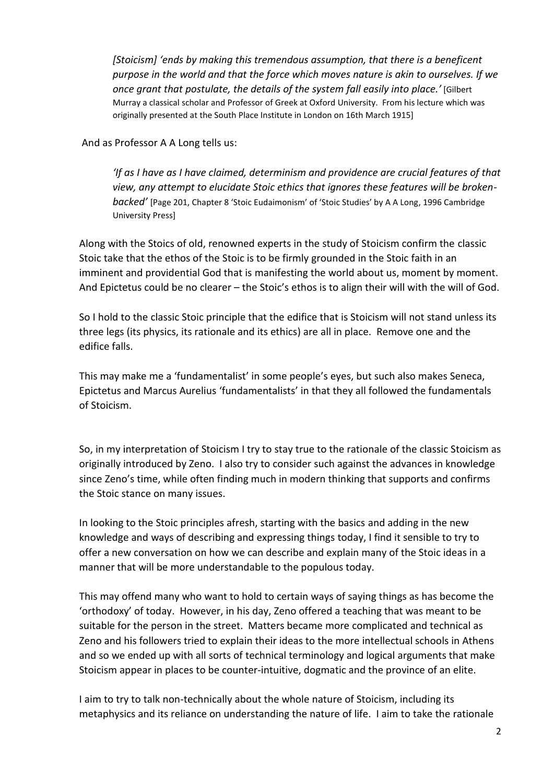*[Stoicism] 'ends by making this tremendous assumption, that there is a beneficent purpose in the world and that the force which moves nature is akin to ourselves. If we once grant that postulate, the details of the system fall easily into place.'* [Gilbert Murray a classical scholar and Professor of Greek at Oxford University. From his lecture which was originally presented at the South Place Institute in London on 16th March 1915]

And as Professor A A Long tells us:

*'If as I have as I have claimed, determinism and providence are crucial features of that view, any attempt to elucidate Stoic ethics that ignores these features will be brokenbacked'* [Page 201, Chapter 8 'Stoic Eudaimonism' of 'Stoic Studies' by A A Long, 1996 Cambridge University Press]

Along with the Stoics of old, renowned experts in the study of Stoicism confirm the classic Stoic take that the ethos of the Stoic is to be firmly grounded in the Stoic faith in an imminent and providential God that is manifesting the world about us, moment by moment. And Epictetus could be no clearer – the Stoic's ethos is to align their will with the will of God.

So I hold to the classic Stoic principle that the edifice that is Stoicism will not stand unless its three legs (its physics, its rationale and its ethics) are all in place. Remove one and the edifice falls.

This may make me a 'fundamentalist' in some people's eyes, but such also makes Seneca, Epictetus and Marcus Aurelius 'fundamentalists' in that they all followed the fundamentals of Stoicism.

So, in my interpretation of Stoicism I try to stay true to the rationale of the classic Stoicism as originally introduced by Zeno. I also try to consider such against the advances in knowledge since Zeno's time, while often finding much in modern thinking that supports and confirms the Stoic stance on many issues.

In looking to the Stoic principles afresh, starting with the basics and adding in the new knowledge and ways of describing and expressing things today, I find it sensible to try to offer a new conversation on how we can describe and explain many of the Stoic ideas in a manner that will be more understandable to the populous today.

This may offend many who want to hold to certain ways of saying things as has become the 'orthodoxy' of today. However, in his day, Zeno offered a teaching that was meant to be suitable for the person in the street. Matters became more complicated and technical as Zeno and his followers tried to explain their ideas to the more intellectual schools in Athens and so we ended up with all sorts of technical terminology and logical arguments that make Stoicism appear in places to be counter-intuitive, dogmatic and the province of an elite.

I aim to try to talk non-technically about the whole nature of Stoicism, including its metaphysics and its reliance on understanding the nature of life. I aim to take the rationale